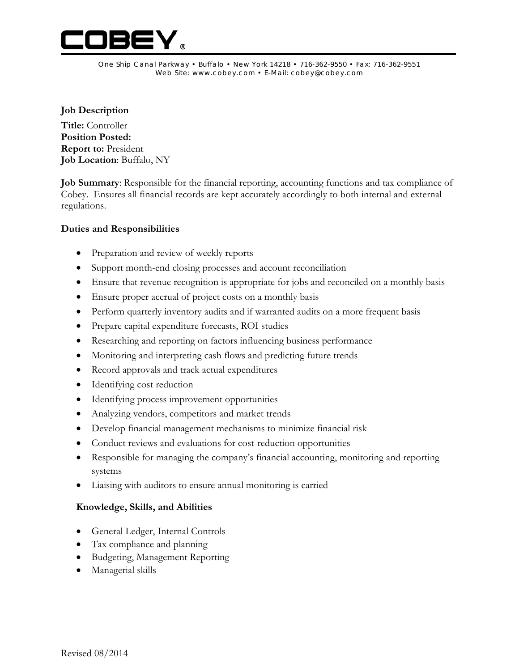

One Ship Canal Parkway • Buffalo • New York 14218 • 716-362-9550 • Fax: 716-362-9551 Web Site: www.cobey.com • E-Mail: cobey@cobey.com

## **Job Description**

**Title:** Controller **Position Posted: Report to:** President **Job Location**: Buffalo, NY

**Job Summary**: Responsible for the financial reporting, accounting functions and tax compliance of Cobey. Ensures all financial records are kept accurately accordingly to both internal and external regulations.

## **Duties and Responsibilities**

- Preparation and review of weekly reports
- Support month-end closing processes and account reconciliation
- Ensure that revenue recognition is appropriate for jobs and reconciled on a monthly basis
- Ensure proper accrual of project costs on a monthly basis
- Perform quarterly inventory audits and if warranted audits on a more frequent basis
- Prepare capital expenditure forecasts, ROI studies
- Researching and reporting on factors influencing business performance
- Monitoring and interpreting cash flows and predicting future trends
- Record approvals and track actual expenditures
- Identifying cost reduction
- Identifying process improvement opportunities
- Analyzing vendors, competitors and market trends
- Develop financial management mechanisms to minimize financial risk
- Conduct reviews and evaluations for cost-reduction opportunities
- Responsible for managing the company's financial accounting, monitoring and reporting systems
- Liaising with auditors to ensure annual monitoring is carried

## **Knowledge, Skills, and Abilities**

- General Ledger, Internal Controls
- Tax compliance and planning
- Budgeting, Management Reporting
- Managerial skills